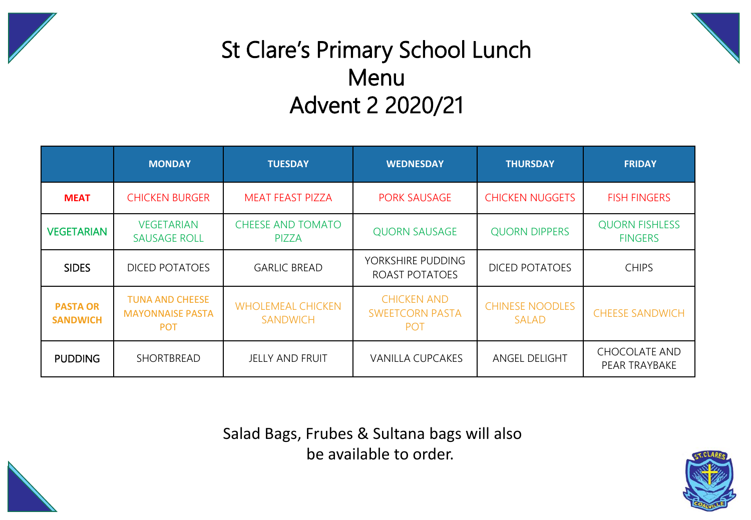



## St Clare's Primary School Lunch Menu Advent 2 2020/21

|                                    | <b>MONDAY</b>                                                   | <b>TUESDAY</b>                              | <b>WEDNESDAY</b>                                           | <b>THURSDAY</b>                        | <b>FRIDAY</b>                           |  |
|------------------------------------|-----------------------------------------------------------------|---------------------------------------------|------------------------------------------------------------|----------------------------------------|-----------------------------------------|--|
| <b>MEAT</b>                        | <b>CHICKEN BURGER</b>                                           | <b>MEAT FEAST PIZZA</b>                     | <b>PORK SAUSAGE</b>                                        | <b>CHICKEN NUGGETS</b>                 | <b>FISH FINGERS</b>                     |  |
| <b>VEGETARIAN</b>                  | <b>VEGETARIAN</b><br><b>SAUSAGE ROLL</b>                        | <b>CHEESE AND TOMATO</b><br><b>PIZZA</b>    | <b>QUORN DIPPERS</b><br><b>QUORN SAUSAGE</b>               |                                        | <b>QUORN FISHLESS</b><br><b>FINGERS</b> |  |
| <b>SIDES</b>                       | <b>DICED POTATOES</b>                                           | <b>GARLIC BREAD</b>                         | YORKSHIRE PUDDING<br>ROAST POTATOES                        | <b>DICED POTATOES</b>                  | <b>CHIPS</b>                            |  |
| <b>PASTA OR</b><br><b>SANDWICH</b> | <b>TUNA AND CHEESE</b><br><b>MAYONNAISE PASTA</b><br><b>POT</b> | <b>WHOLEMEAL CHICKEN</b><br><b>SANDWICH</b> | <b>CHICKEN AND</b><br><b>SWEETCORN PASTA</b><br><b>POT</b> | <b>CHINESE NOODLES</b><br><b>SALAD</b> | <b>CHEESE SANDWICH</b>                  |  |
| <b>PUDDING</b>                     | SHORTBREAD                                                      | <b>JELLY AND FRUIT</b>                      | <b>VANILLA CUPCAKES</b>                                    | <b>ANGEL DELIGHT</b>                   | <b>CHOCOLATE AND</b><br>PEAR TRAYBAKE   |  |

Salad Bags, Frubes & Sultana bags will also be available to order.